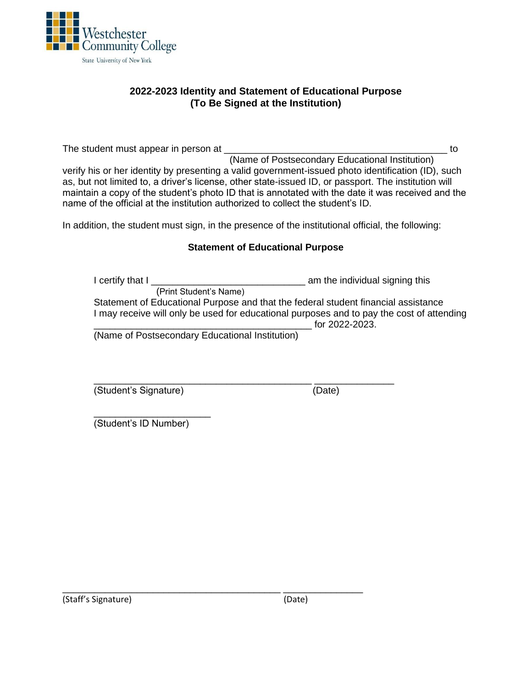

# **2022-2023 Identity and Statement of Educational Purpose (To Be Signed at the Institution)**

The student must appear in person at The student must appear in person at  $\sim$  (Name of Postsecondary Educational Institution) verify his or her identity by presenting a valid government-issued photo identification (ID), such as, but not limited to, a driver's license, other state-issued ID, or passport. The institution will maintain a copy of the student's photo ID that is annotated with the date it was received and the name of the official at the institution authorized to collect the student's ID.

In addition, the student must sign, in the presence of the institutional official, the following:

### **Statement of Educational Purpose**

I certify that I \_\_\_\_\_\_\_\_\_\_\_\_\_\_\_\_\_\_\_\_\_\_\_\_\_\_\_\_\_ am the individual signing this (Print Student's Name) Statement of Educational Purpose and that the federal student financial assistance I may receive will only be used for educational purposes and to pay the cost of attending for 2022-2023.

(Name of Postsecondary Educational Institution)

\_\_\_\_\_\_\_\_\_\_\_\_\_\_\_\_\_\_\_\_\_\_\_\_\_\_\_\_\_\_\_\_\_\_\_\_\_\_\_\_\_ \_\_\_\_\_\_\_\_\_\_\_\_\_\_\_

\_\_\_\_\_\_\_\_\_\_\_\_\_\_\_\_\_\_\_\_\_\_\_\_\_\_\_\_\_\_\_\_\_\_\_\_\_\_\_\_\_ \_\_\_\_\_\_\_\_\_\_\_\_\_\_\_ (Student's Signature) (Date)

\_\_\_\_\_\_\_\_\_\_\_\_\_\_\_\_\_\_\_\_\_\_ (Student's ID Number)